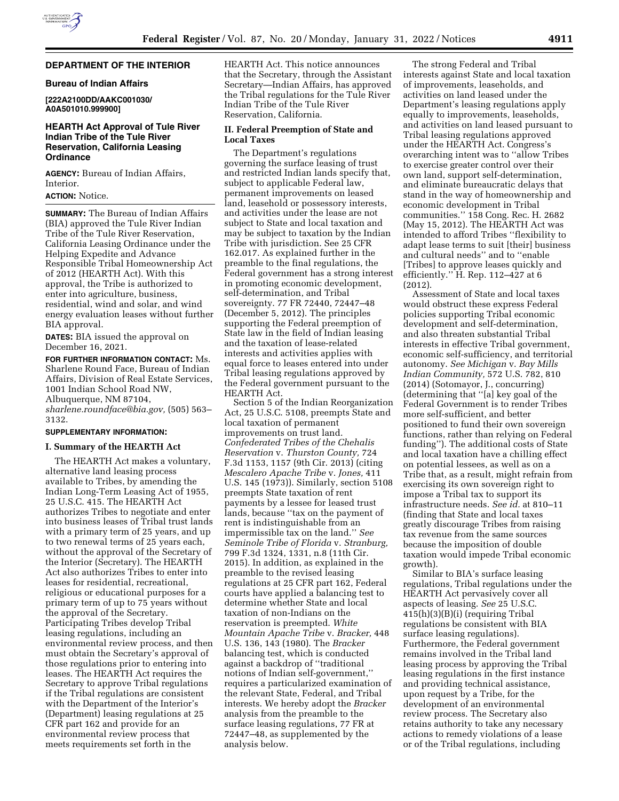#### **DEPARTMENT OF THE INTERIOR**

#### **Bureau of Indian Affairs**

**[222A2100DD/AAKC001030/ A0A501010.999900]** 

## **HEARTH Act Approval of Tule River Indian Tribe of the Tule River Reservation, California Leasing Ordinance**

**AGENCY:** Bureau of Indian Affairs, Interior.

# **ACTION:** Notice.

**SUMMARY:** The Bureau of Indian Affairs (BIA) approved the Tule River Indian Tribe of the Tule River Reservation, California Leasing Ordinance under the Helping Expedite and Advance Responsible Tribal Homeownership Act of 2012 (HEARTH Act). With this approval, the Tribe is authorized to enter into agriculture, business, residential, wind and solar, and wind energy evaluation leases without further BIA approval.

**DATES:** BIA issued the approval on December 16, 2021.

**FOR FURTHER INFORMATION CONTACT:** Ms. Sharlene Round Face, Bureau of Indian Affairs, Division of Real Estate Services, 1001 Indian School Road NW, Albuquerque, NM 87104, *[sharlene.roundface@bia.gov,](mailto:sharlene.roundface@bia.gov)* (505) 563– 3132.

#### **SUPPLEMENTARY INFORMATION:**

#### **I. Summary of the HEARTH Act**

The HEARTH Act makes a voluntary, alternative land leasing process available to Tribes, by amending the Indian Long-Term Leasing Act of 1955, 25 U.S.C. 415. The HEARTH Act authorizes Tribes to negotiate and enter into business leases of Tribal trust lands with a primary term of 25 years, and up to two renewal terms of 25 years each, without the approval of the Secretary of the Interior (Secretary). The HEARTH Act also authorizes Tribes to enter into leases for residential, recreational, religious or educational purposes for a primary term of up to 75 years without the approval of the Secretary. Participating Tribes develop Tribal leasing regulations, including an environmental review process, and then must obtain the Secretary's approval of those regulations prior to entering into leases. The HEARTH Act requires the Secretary to approve Tribal regulations if the Tribal regulations are consistent with the Department of the Interior's (Department) leasing regulations at 25 CFR part 162 and provide for an environmental review process that meets requirements set forth in the

HEARTH Act. This notice announces that the Secretary, through the Assistant Secretary—Indian Affairs, has approved the Tribal regulations for the Tule River Indian Tribe of the Tule River Reservation, California.

### **II. Federal Preemption of State and Local Taxes**

The Department's regulations governing the surface leasing of trust and restricted Indian lands specify that, subject to applicable Federal law, permanent improvements on leased land, leasehold or possessory interests, and activities under the lease are not subject to State and local taxation and may be subject to taxation by the Indian Tribe with jurisdiction. See 25 CFR 162.017. As explained further in the preamble to the final regulations, the Federal government has a strong interest in promoting economic development, self-determination, and Tribal sovereignty. 77 FR 72440, 72447–48 (December 5, 2012). The principles supporting the Federal preemption of State law in the field of Indian leasing and the taxation of lease-related interests and activities applies with equal force to leases entered into under Tribal leasing regulations approved by the Federal government pursuant to the HEARTH Act.

Section 5 of the Indian Reorganization Act, 25 U.S.C. 5108, preempts State and local taxation of permanent improvements on trust land. *Confederated Tribes of the Chehalis Reservation* v. *Thurston County,* 724 F.3d 1153, 1157 (9th Cir. 2013) (citing *Mescalero Apache Tribe* v. *Jones,* 411 U.S. 145 (1973)). Similarly, section 5108 preempts State taxation of rent payments by a lessee for leased trust lands, because ''tax on the payment of rent is indistinguishable from an impermissible tax on the land.'' *See Seminole Tribe of Florida* v. *Stranburg,*  799 F.3d 1324, 1331, n.8 (11th Cir. 2015). In addition, as explained in the preamble to the revised leasing regulations at 25 CFR part 162, Federal courts have applied a balancing test to determine whether State and local taxation of non-Indians on the reservation is preempted. *White Mountain Apache Tribe* v. *Bracker,* 448 U.S. 136, 143 (1980). The *Bracker*  balancing test, which is conducted against a backdrop of ''traditional notions of Indian self-government,'' requires a particularized examination of the relevant State, Federal, and Tribal interests. We hereby adopt the *Bracker*  analysis from the preamble to the surface leasing regulations, 77 FR at 72447–48, as supplemented by the analysis below.

The strong Federal and Tribal interests against State and local taxation of improvements, leaseholds, and activities on land leased under the Department's leasing regulations apply equally to improvements, leaseholds, and activities on land leased pursuant to Tribal leasing regulations approved under the HEARTH Act. Congress's overarching intent was to ''allow Tribes to exercise greater control over their own land, support self-determination, and eliminate bureaucratic delays that stand in the way of homeownership and economic development in Tribal communities.'' 158 Cong. Rec. H. 2682 (May 15, 2012). The HEARTH Act was intended to afford Tribes ''flexibility to adapt lease terms to suit [their] business and cultural needs'' and to ''enable [Tribes] to approve leases quickly and efficiently.'' H. Rep. 112–427 at 6 (2012).

Assessment of State and local taxes would obstruct these express Federal policies supporting Tribal economic development and self-determination, and also threaten substantial Tribal interests in effective Tribal government, economic self-sufficiency, and territorial autonomy. *See Michigan* v. *Bay Mills Indian Community,* 572 U.S. 782, 810 (2014) (Sotomayor, J., concurring) (determining that ''[a] key goal of the Federal Government is to render Tribes more self-sufficient, and better positioned to fund their own sovereign functions, rather than relying on Federal funding''). The additional costs of State and local taxation have a chilling effect on potential lessees, as well as on a Tribe that, as a result, might refrain from exercising its own sovereign right to impose a Tribal tax to support its infrastructure needs. *See id.* at 810–11 (finding that State and local taxes greatly discourage Tribes from raising tax revenue from the same sources because the imposition of double taxation would impede Tribal economic growth).

Similar to BIA's surface leasing regulations, Tribal regulations under the HEARTH Act pervasively cover all aspects of leasing. *See* 25 U.S.C. 415(h)(3)(B)(i) (requiring Tribal regulations be consistent with BIA surface leasing regulations). Furthermore, the Federal government remains involved in the Tribal land leasing process by approving the Tribal leasing regulations in the first instance and providing technical assistance, upon request by a Tribe, for the development of an environmental review process. The Secretary also retains authority to take any necessary actions to remedy violations of a lease or of the Tribal regulations, including